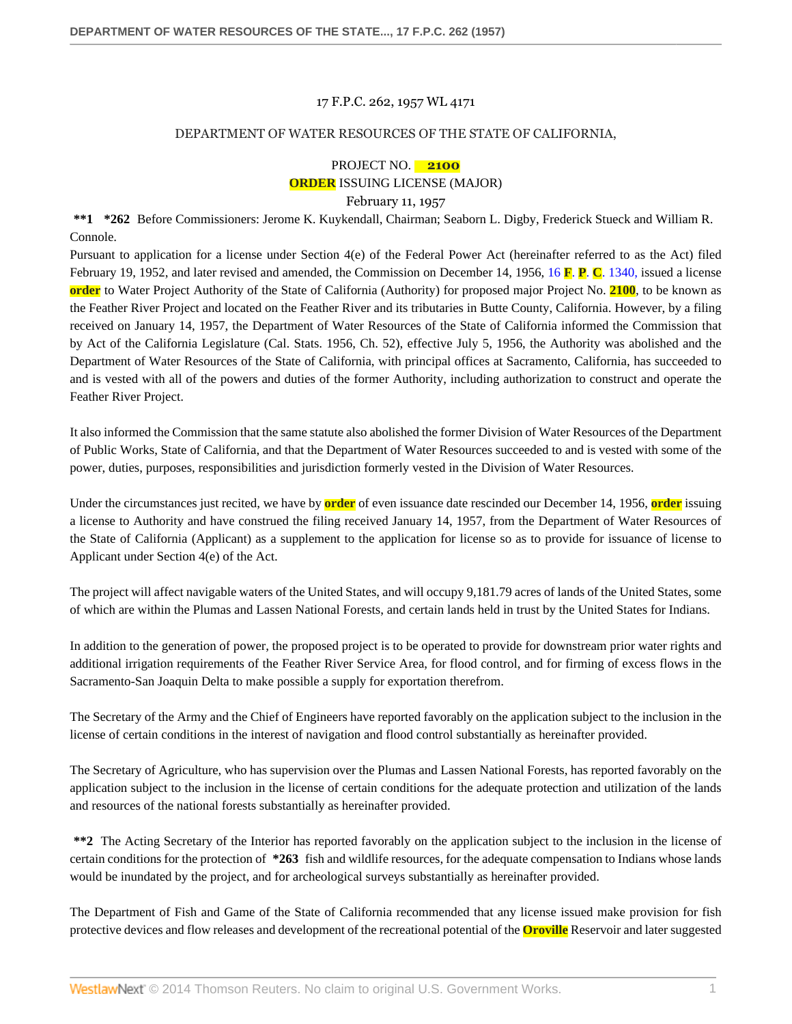#### 17 F.P.C. 262, 1957 WL 4171

#### DEPARTMENT OF WATER RESOURCES OF THE STATE OF CALIFORNIA,

# PROJECT NO. **2100 ORDER** ISSUING LICENSE (MAJOR)

# February 11, 1957

**\*\*1 \*262** Before Commissioners: Jerome K. Kuykendall, Chairman; Seaborn L. Digby, Frederick Stueck and William R. Connole.

Pursuant to application for a license under Section 4(e) of the Federal Power Act (hereinafter referred to as the Act) filed February 19, 1952, and later revised and amended, the Commission on December 14, 1956, 16 **F**. **P**. **C**[. 1340,](http://www.westlaw.com/Link/Document/FullText?findType=Y&serNum=1956053828&pubNum=921&originationContext=document&vr=3.0&rs=cblt1.0&transitionType=DocumentItem&contextData=(sc.Search)) issued a license **order** to Water Project Authority of the State of California (Authority) for proposed major Project No. **2100**, to be known as the Feather River Project and located on the Feather River and its tributaries in Butte County, California. However, by a filing received on January 14, 1957, the Department of Water Resources of the State of California informed the Commission that by Act of the California Legislature (Cal. Stats. 1956, Ch. 52), effective July 5, 1956, the Authority was abolished and the Department of Water Resources of the State of California, with principal offices at Sacramento, California, has succeeded to and is vested with all of the powers and duties of the former Authority, including authorization to construct and operate the Feather River Project.

It also informed the Commission that the same statute also abolished the former Division of Water Resources of the Department of Public Works, State of California, and that the Department of Water Resources succeeded to and is vested with some of the power, duties, purposes, responsibilities and jurisdiction formerly vested in the Division of Water Resources.

Under the circumstances just recited, we have by **order** of even issuance date rescinded our December 14, 1956, **order** issuing a license to Authority and have construed the filing received January 14, 1957, from the Department of Water Resources of the State of California (Applicant) as a supplement to the application for license so as to provide for issuance of license to Applicant under Section 4(e) of the Act.

The project will affect navigable waters of the United States, and will occupy 9,181.79 acres of lands of the United States, some of which are within the Plumas and Lassen National Forests, and certain lands held in trust by the United States for Indians.

In addition to the generation of power, the proposed project is to be operated to provide for downstream prior water rights and additional irrigation requirements of the Feather River Service Area, for flood control, and for firming of excess flows in the Sacramento-San Joaquin Delta to make possible a supply for exportation therefrom.

The Secretary of the Army and the Chief of Engineers have reported favorably on the application subject to the inclusion in the license of certain conditions in the interest of navigation and flood control substantially as hereinafter provided.

The Secretary of Agriculture, who has supervision over the Plumas and Lassen National Forests, has reported favorably on the application subject to the inclusion in the license of certain conditions for the adequate protection and utilization of the lands and resources of the national forests substantially as hereinafter provided.

**\*\*2** The Acting Secretary of the Interior has reported favorably on the application subject to the inclusion in the license of certain conditions for the protection of **\*263** fish and wildlife resources, for the adequate compensation to Indians whose lands would be inundated by the project, and for archeological surveys substantially as hereinafter provided.

The Department of Fish and Game of the State of California recommended that any license issued make provision for fish protective devices and flow releases and development of the recreational potential of the **Oroville** Reservoir and later suggested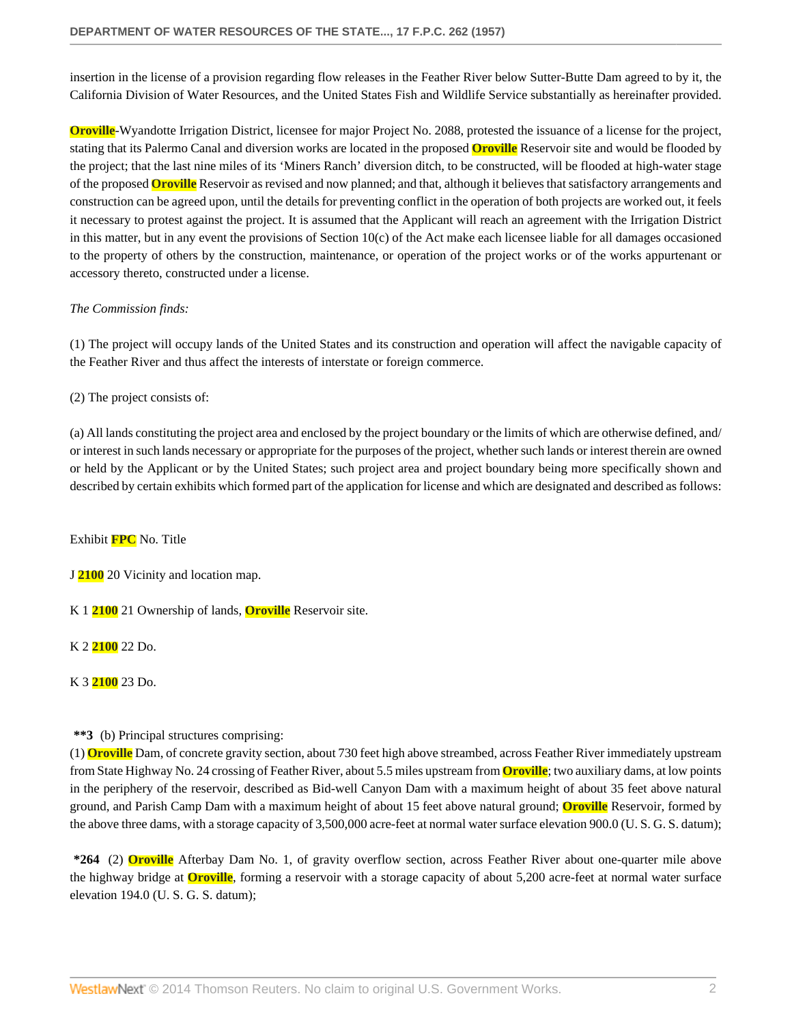insertion in the license of a provision regarding flow releases in the Feather River below Sutter-Butte Dam agreed to by it, the California Division of Water Resources, and the United States Fish and Wildlife Service substantially as hereinafter provided.

**Oroville**-Wyandotte Irrigation District, licensee for major Project No. 2088, protested the issuance of a license for the project, stating that its Palermo Canal and diversion works are located in the proposed **Oroville** Reservoir site and would be flooded by the project; that the last nine miles of its 'Miners Ranch' diversion ditch, to be constructed, will be flooded at high-water stage of the proposed **Oroville** Reservoir as revised and now planned; and that, although it believes that satisfactory arrangements and construction can be agreed upon, until the details for preventing conflict in the operation of both projects are worked out, it feels it necessary to protest against the project. It is assumed that the Applicant will reach an agreement with the Irrigation District in this matter, but in any event the provisions of Section 10(c) of the Act make each licensee liable for all damages occasioned to the property of others by the construction, maintenance, or operation of the project works or of the works appurtenant or accessory thereto, constructed under a license.

# *The Commission finds:*

(1) The project will occupy lands of the United States and its construction and operation will affect the navigable capacity of the Feather River and thus affect the interests of interstate or foreign commerce.

(2) The project consists of:

(a) All lands constituting the project area and enclosed by the project boundary or the limits of which are otherwise defined, and/ or interest in such lands necessary or appropriate for the purposes of the project, whether such lands or interest therein are owned or held by the Applicant or by the United States; such project area and project boundary being more specifically shown and described by certain exhibits which formed part of the application for license and which are designated and described as follows:

## Exhibit **FPC** No. Title

J **2100** 20 Vicinity and location map.

K 1 **2100** 21 Ownership of lands, **Oroville** Reservoir site.

K 2 **2100** 22 Do.

K 3 **2100** 23 Do.

# **\*\*3** (b) Principal structures comprising:

(1) **Oroville** Dam, of concrete gravity section, about 730 feet high above streambed, across Feather River immediately upstream from State Highway No. 24 crossing of Feather River, about 5.5 miles upstream from **Oroville**; two auxiliary dams, at low points in the periphery of the reservoir, described as Bid-well Canyon Dam with a maximum height of about 35 feet above natural ground, and Parish Camp Dam with a maximum height of about 15 feet above natural ground; **Oroville** Reservoir, formed by the above three dams, with a storage capacity of 3,500,000 acre-feet at normal water surface elevation 900.0 (U. S. G. S. datum);

**\*264** (2) **Oroville** Afterbay Dam No. 1, of gravity overflow section, across Feather River about one-quarter mile above the highway bridge at **Oroville**, forming a reservoir with a storage capacity of about 5,200 acre-feet at normal water surface elevation 194.0 (U. S. G. S. datum);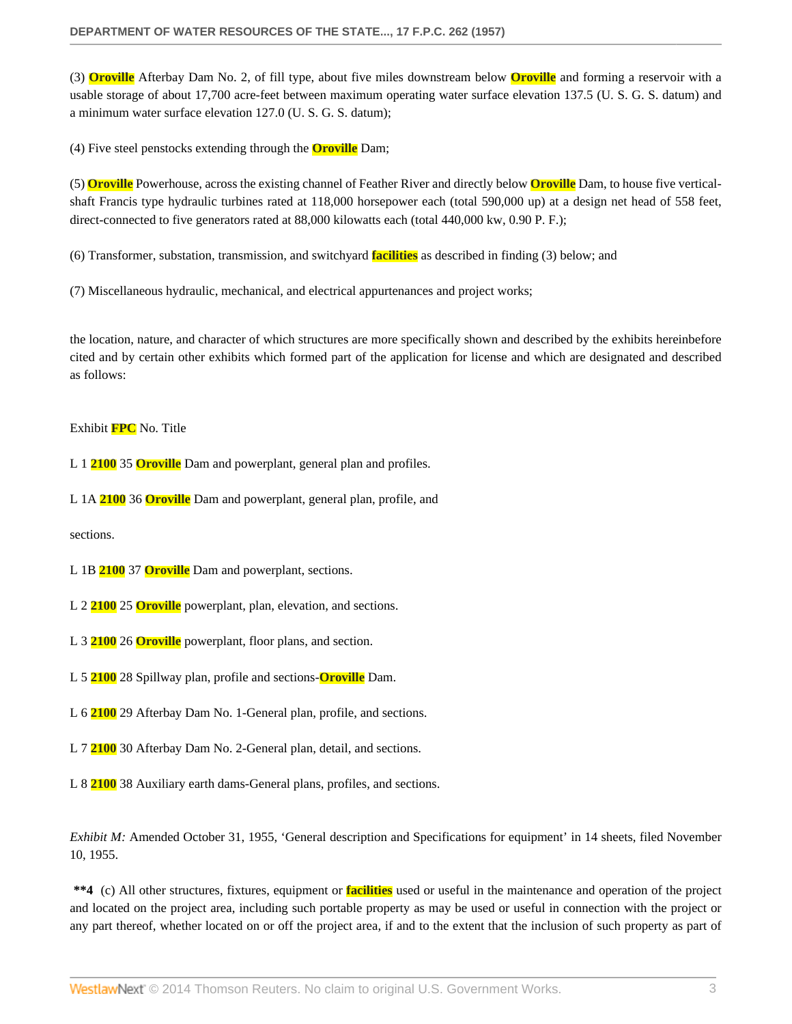(3) **Oroville** Afterbay Dam No. 2, of fill type, about five miles downstream below **Oroville** and forming a reservoir with a usable storage of about 17,700 acre-feet between maximum operating water surface elevation 137.5 (U. S. G. S. datum) and a minimum water surface elevation 127.0 (U. S. G. S. datum);

(4) Five steel penstocks extending through the **Oroville** Dam;

(5) **Oroville** Powerhouse, across the existing channel of Feather River and directly below **Oroville** Dam, to house five verticalshaft Francis type hydraulic turbines rated at 118,000 horsepower each (total 590,000 up) at a design net head of 558 feet, direct-connected to five generators rated at 88,000 kilowatts each (total 440,000 kw, 0.90 P. F.);

(6) Transformer, substation, transmission, and switchyard **facilities** as described in finding (3) below; and

(7) Miscellaneous hydraulic, mechanical, and electrical appurtenances and project works;

the location, nature, and character of which structures are more specifically shown and described by the exhibits hereinbefore cited and by certain other exhibits which formed part of the application for license and which are designated and described as follows:

Exhibit **FPC** No. Title

L 1 **2100** 35 **Oroville** Dam and powerplant, general plan and profiles.

L 1A **2100** 36 **Oroville** Dam and powerplant, general plan, profile, and

sections.

L 1B **2100** 37 **Oroville** Dam and powerplant, sections.

- L 2 **2100** 25 **Oroville** powerplant, plan, elevation, and sections.
- L 3 **2100** 26 **Oroville** powerplant, floor plans, and section.
- L 5 **2100** 28 Spillway plan, profile and sections-**Oroville** Dam.
- L 6 **2100** 29 Afterbay Dam No. 1-General plan, profile, and sections.
- L 7 **2100** 30 Afterbay Dam No. 2-General plan, detail, and sections.
- L 8 **2100** 38 Auxiliary earth dams-General plans, profiles, and sections.

*Exhibit M:* Amended October 31, 1955, 'General description and Specifications for equipment' in 14 sheets, filed November 10, 1955.

**\*\*4** (c) All other structures, fixtures, equipment or **facilities** used or useful in the maintenance and operation of the project and located on the project area, including such portable property as may be used or useful in connection with the project or any part thereof, whether located on or off the project area, if and to the extent that the inclusion of such property as part of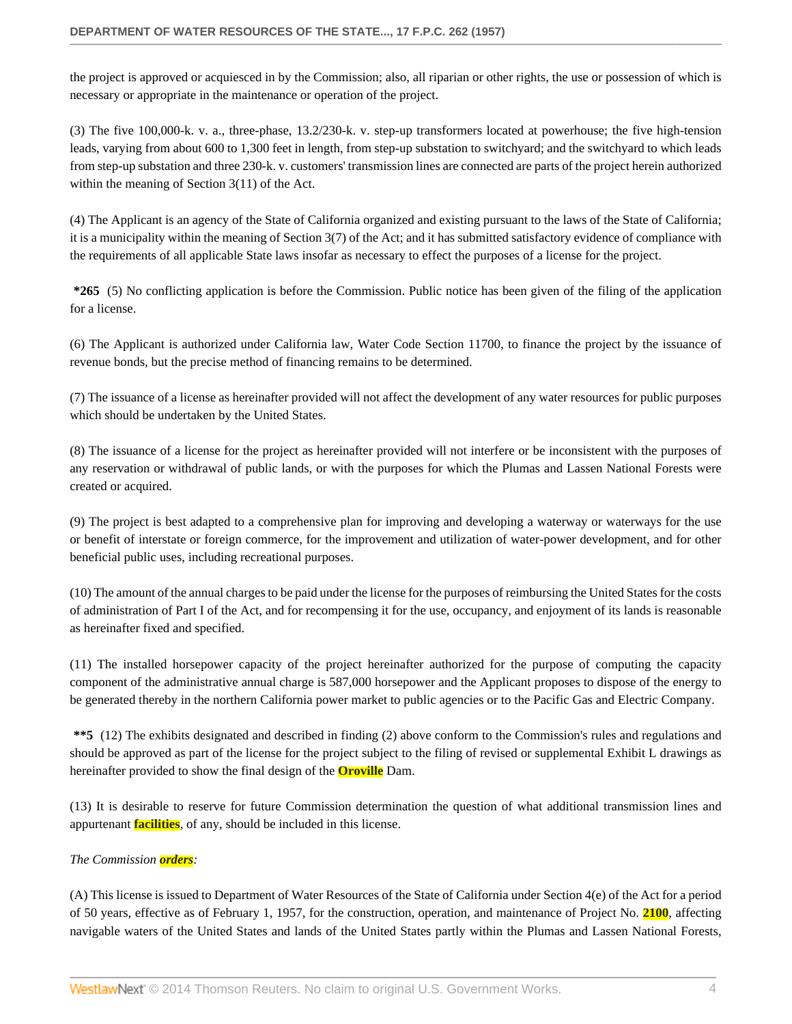the project is approved or acquiesced in by the Commission; also, all riparian or other rights, the use or possession of which is necessary or appropriate in the maintenance or operation of the project.

(3) The five 100,000-k. v. a., three-phase, 13.2/230-k. v. step-up transformers located at powerhouse; the five high-tension leads, varying from about 600 to 1,300 feet in length, from step-up substation to switchyard; and the switchyard to which leads from step-up substation and three 230-k. v. customers' transmission lines are connected are parts of the project herein authorized within the meaning of Section 3(11) of the Act.

(4) The Applicant is an agency of the State of California organized and existing pursuant to the laws of the State of California; it is a municipality within the meaning of Section 3(7) of the Act; and it has submitted satisfactory evidence of compliance with the requirements of all applicable State laws insofar as necessary to effect the purposes of a license for the project.

**\*265** (5) No conflicting application is before the Commission. Public notice has been given of the filing of the application for a license.

(6) The Applicant is authorized under California law, Water Code Section 11700, to finance the project by the issuance of revenue bonds, but the precise method of financing remains to be determined.

(7) The issuance of a license as hereinafter provided will not affect the development of any water resources for public purposes which should be undertaken by the United States.

(8) The issuance of a license for the project as hereinafter provided will not interfere or be inconsistent with the purposes of any reservation or withdrawal of public lands, or with the purposes for which the Plumas and Lassen National Forests were created or acquired.

(9) The project is best adapted to a comprehensive plan for improving and developing a waterway or waterways for the use or benefit of interstate or foreign commerce, for the improvement and utilization of water-power development, and for other beneficial public uses, including recreational purposes.

(10) The amount of the annual charges to be paid under the license for the purposes of reimbursing the United States for the costs of administration of Part I of the Act, and for recompensing it for the use, occupancy, and enjoyment of its lands is reasonable as hereinafter fixed and specified.

(11) The installed horsepower capacity of the project hereinafter authorized for the purpose of computing the capacity component of the administrative annual charge is 587,000 horsepower and the Applicant proposes to dispose of the energy to be generated thereby in the northern California power market to public agencies or to the Pacific Gas and Electric Company.

**\*\*5** (12) The exhibits designated and described in finding (2) above conform to the Commission's rules and regulations and should be approved as part of the license for the project subject to the filing of revised or supplemental Exhibit L drawings as hereinafter provided to show the final design of the **Oroville** Dam.

(13) It is desirable to reserve for future Commission determination the question of what additional transmission lines and appurtenant **facilities**, of any, should be included in this license.

## *The Commission orders:*

(A) This license is issued to Department of Water Resources of the State of California under Section 4(e) of the Act for a period of 50 years, effective as of February 1, 1957, for the construction, operation, and maintenance of Project No. **2100**, affecting navigable waters of the United States and lands of the United States partly within the Plumas and Lassen National Forests,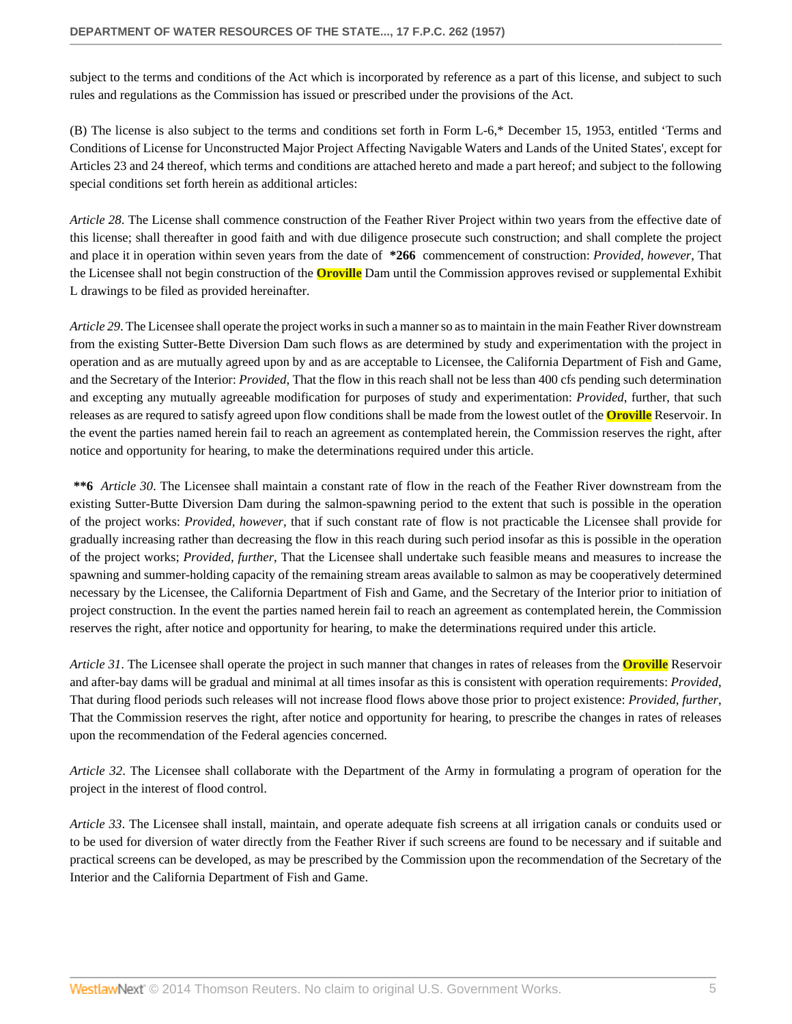subject to the terms and conditions of the Act which is incorporated by reference as a part of this license, and subject to such rules and regulations as the Commission has issued or prescribed under the provisions of the Act.

(B) The license is also subject to the terms and conditions set forth in Form L-6,\* December 15, 1953, entitled 'Terms and Conditions of License for Unconstructed Major Project Affecting Navigable Waters and Lands of the United States', except for Articles 23 and 24 thereof, which terms and conditions are attached hereto and made a part hereof; and subject to the following special conditions set forth herein as additional articles:

*Article 28*. The License shall commence construction of the Feather River Project within two years from the effective date of this license; shall thereafter in good faith and with due diligence prosecute such construction; and shall complete the project and place it in operation within seven years from the date of **\*266** commencement of construction: *Provided, however*, That the Licensee shall not begin construction of the **Oroville** Dam until the Commission approves revised or supplemental Exhibit L drawings to be filed as provided hereinafter.

*Article 29*. The Licensee shall operate the project works in such a manner so as to maintain in the main Feather River downstream from the existing Sutter-Bette Diversion Dam such flows as are determined by study and experimentation with the project in operation and as are mutually agreed upon by and as are acceptable to Licensee, the California Department of Fish and Game, and the Secretary of the Interior: *Provided*, That the flow in this reach shall not be less than 400 cfs pending such determination and excepting any mutually agreeable modification for purposes of study and experimentation: *Provided*, further, that such releases as are requred to satisfy agreed upon flow conditions shall be made from the lowest outlet of the **Oroville** Reservoir. In the event the parties named herein fail to reach an agreement as contemplated herein, the Commission reserves the right, after notice and opportunity for hearing, to make the determinations required under this article.

**\*\*6** *Article 30*. The Licensee shall maintain a constant rate of flow in the reach of the Feather River downstream from the existing Sutter-Butte Diversion Dam during the salmon-spawning period to the extent that such is possible in the operation of the project works: *Provided, however*, that if such constant rate of flow is not practicable the Licensee shall provide for gradually increasing rather than decreasing the flow in this reach during such period insofar as this is possible in the operation of the project works; *Provided, further*, That the Licensee shall undertake such feasible means and measures to increase the spawning and summer-holding capacity of the remaining stream areas available to salmon as may be cooperatively determined necessary by the Licensee, the California Department of Fish and Game, and the Secretary of the Interior prior to initiation of project construction. In the event the parties named herein fail to reach an agreement as contemplated herein, the Commission reserves the right, after notice and opportunity for hearing, to make the determinations required under this article.

*Article 31*. The Licensee shall operate the project in such manner that changes in rates of releases from the **Oroville** Reservoir and after-bay dams will be gradual and minimal at all times insofar as this is consistent with operation requirements: *Provided*, That during flood periods such releases will not increase flood flows above those prior to project existence: *Provided, further*, That the Commission reserves the right, after notice and opportunity for hearing, to prescribe the changes in rates of releases upon the recommendation of the Federal agencies concerned.

*Article 32*. The Licensee shall collaborate with the Department of the Army in formulating a program of operation for the project in the interest of flood control.

*Article 33*. The Licensee shall install, maintain, and operate adequate fish screens at all irrigation canals or conduits used or to be used for diversion of water directly from the Feather River if such screens are found to be necessary and if suitable and practical screens can be developed, as may be prescribed by the Commission upon the recommendation of the Secretary of the Interior and the California Department of Fish and Game.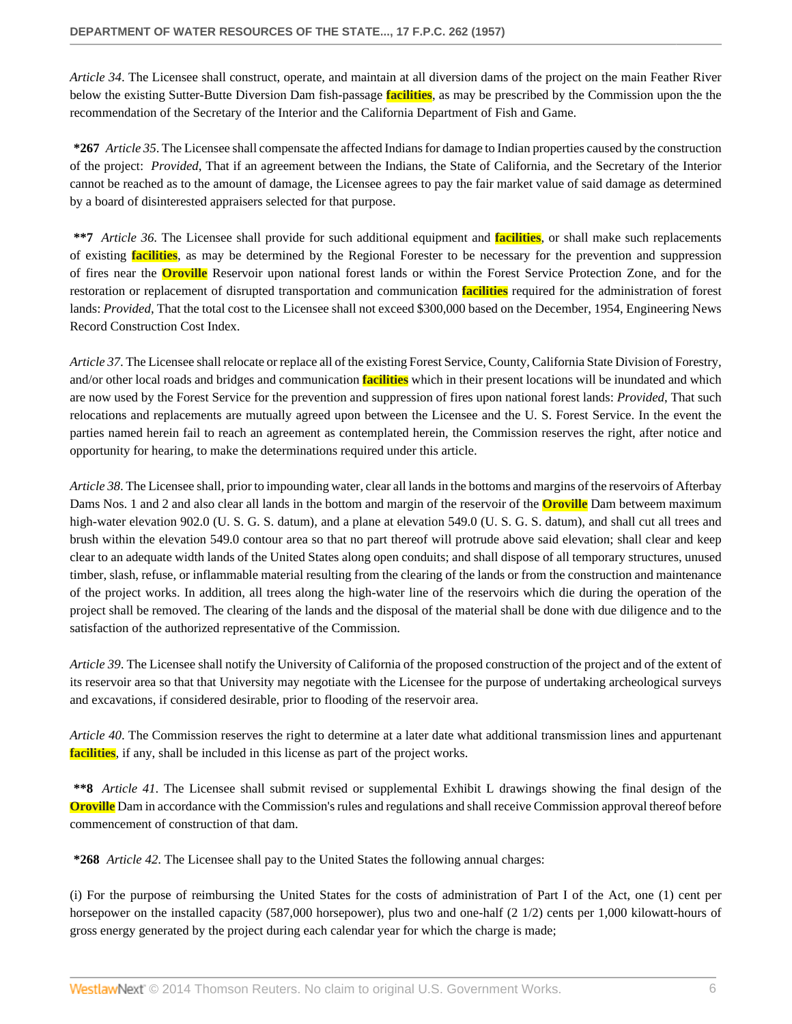*Article 34*. The Licensee shall construct, operate, and maintain at all diversion dams of the project on the main Feather River below the existing Sutter-Butte Diversion Dam fish-passage **facilities**, as may be prescribed by the Commission upon the the recommendation of the Secretary of the Interior and the California Department of Fish and Game.

**\*267** *Article 35*. The Licensee shall compensate the affected Indians for damage to Indian properties caused by the construction of the project: *Provided*, That if an agreement between the Indians, the State of California, and the Secretary of the Interior cannot be reached as to the amount of damage, the Licensee agrees to pay the fair market value of said damage as determined by a board of disinterested appraisers selected for that purpose.

**\*\*7** *Article 36*. The Licensee shall provide for such additional equipment and **facilities**, or shall make such replacements of existing **facilities**, as may be determined by the Regional Forester to be necessary for the prevention and suppression of fires near the **Oroville** Reservoir upon national forest lands or within the Forest Service Protection Zone, and for the restoration or replacement of disrupted transportation and communication **facilities** required for the administration of forest lands: *Provided*, That the total cost to the Licensee shall not exceed \$300,000 based on the December, 1954, Engineering News Record Construction Cost Index.

*Article 37*. The Licensee shall relocate or replace all of the existing Forest Service, County, California State Division of Forestry, and/or other local roads and bridges and communication **facilities** which in their present locations will be inundated and which are now used by the Forest Service for the prevention and suppression of fires upon national forest lands: *Provided*, That such relocations and replacements are mutually agreed upon between the Licensee and the U. S. Forest Service. In the event the parties named herein fail to reach an agreement as contemplated herein, the Commission reserves the right, after notice and opportunity for hearing, to make the determinations required under this article.

*Article 38*. The Licensee shall, prior to impounding water, clear all lands in the bottoms and margins of the reservoirs of Afterbay Dams Nos. 1 and 2 and also clear all lands in the bottom and margin of the reservoir of the **Oroville** Dam betweem maximum high-water elevation 902.0 (U. S. G. S. datum), and a plane at elevation 549.0 (U. S. G. S. datum), and shall cut all trees and brush within the elevation 549.0 contour area so that no part thereof will protrude above said elevation; shall clear and keep clear to an adequate width lands of the United States along open conduits; and shall dispose of all temporary structures, unused timber, slash, refuse, or inflammable material resulting from the clearing of the lands or from the construction and maintenance of the project works. In addition, all trees along the high-water line of the reservoirs which die during the operation of the project shall be removed. The clearing of the lands and the disposal of the material shall be done with due diligence and to the satisfaction of the authorized representative of the Commission.

*Article 39*. The Licensee shall notify the University of California of the proposed construction of the project and of the extent of its reservoir area so that that University may negotiate with the Licensee for the purpose of undertaking archeological surveys and excavations, if considered desirable, prior to flooding of the reservoir area.

*Article 40*. The Commission reserves the right to determine at a later date what additional transmission lines and appurtenant **facilities**, if any, shall be included in this license as part of the project works.

**\*\*8** *Article 41*. The Licensee shall submit revised or supplemental Exhibit L drawings showing the final design of the **Oroville** Dam in accordance with the Commission's rules and regulations and shall receive Commission approval thereof before commencement of construction of that dam.

**\*268** *Article 42*. The Licensee shall pay to the United States the following annual charges:

(i) For the purpose of reimbursing the United States for the costs of administration of Part I of the Act, one (1) cent per horsepower on the installed capacity (587,000 horsepower), plus two and one-half (2 1/2) cents per 1,000 kilowatt-hours of gross energy generated by the project during each calendar year for which the charge is made;